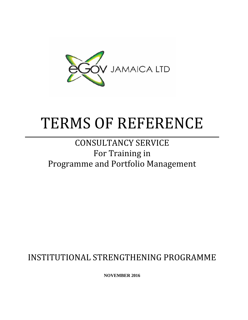

# TERMS OF REFERENCE

# CONSULTANCY SERVICE For Training in Programme and Portfolio Management

INSTITUTIONAL STRENGTHENING PROGRAMME

**NOVEMBER 2016**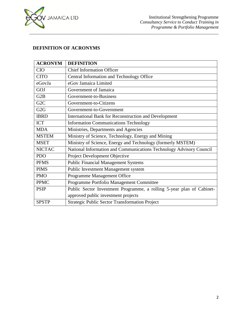

# **DEFINITION OF ACRONYMS**

| <b>ACRONYM</b>   | <b>DEFINITION</b>                                                     |  |
|------------------|-----------------------------------------------------------------------|--|
| <b>CIO</b>       | <b>Chief Information Officer</b>                                      |  |
| <b>CITO</b>      | Central Information and Technology Office                             |  |
| eGovJa           | eGov Jamaica Limited                                                  |  |
| GOJ              | Government of Jamaica                                                 |  |
| G <sub>2</sub> B | Government-to-Business                                                |  |
| G <sub>2</sub> C | Government-to-Citizens                                                |  |
| G2G              | Government-to-Government                                              |  |
| <b>IBRD</b>      | <b>International Bank for Reconstruction and Development</b>          |  |
| <b>ICT</b>       | <b>Information Communications Technology</b>                          |  |
| <b>MDA</b>       | Ministries, Departments and Agencies                                  |  |
| <b>MSTEM</b>     | Ministry of Science, Technology, Energy and Mining                    |  |
| <b>MSET</b>      | Ministry of Science, Energy and Technology (formerly MSTEM)           |  |
| <b>NICTAC</b>    | National Information and Communications Technology Advisory Council   |  |
| <b>PDO</b>       | Project Development Objective                                         |  |
| <b>PFMS</b>      | <b>Public Financial Management Systems</b>                            |  |
| <b>PIMS</b>      | Public Investment Management system                                   |  |
| <b>PMO</b>       | Programme Management Office                                           |  |
| <b>PPMC</b>      | Programme Portfolio Management Committee                              |  |
| <b>PSIP</b>      | Public Sector Investment Programme, a rolling 5-year plan of Cabinet- |  |
|                  | approved public investment projects                                   |  |
| <b>SPSTP</b>     | Strategic Public Sector Transformation Project                        |  |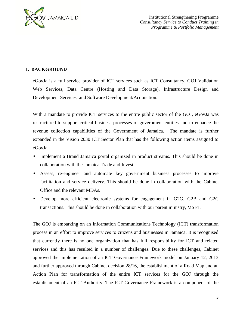

# **1. BACKGROUND**

eGovJa is a full service provider of ICT services such as ICT Consultancy, GOJ Validation Web Services, Data Centre (Hosting and Data Storage), Infrastructure Design and Development Services, and Software Development/Acquisition.

With a mandate to provide ICT services to the entire public sector of the GOJ, eGovJa was restructured to support critical business processes of government entities and to enhance the revenue collection capabilities of the Government of Jamaica. The mandate is further expanded in the Vision 2030 ICT Sector Plan that has the following action items assigned to eGovJa:

- Implement a Brand Jamaica portal organized in product streams. This should be done in collaboration with the Jamaica Trade and Invest.
- Assess, re-engineer and automate key government business processes to improve facilitation and service delivery. This should be done in collaboration with the Cabinet Office and the relevant MDAs.
- Develop more efficient electronic systems for engagement in G2G, G2B and G2C transactions. This should be done in collaboration with our parent ministry, MSET.

The GOJ is embarking on an Information Communications Technology (ICT) transformation process in an effort to improve services to citizens and businesses in Jamaica. It is recognised that currently there is no one organization that has full responsibility for ICT and related services and this has resulted in a number of challenges. Due to these challenges, Cabinet approved the implementation of an ICT Governance Framework model on January 12, 2013 and further approved through Cabinet decision 28/16, the establishment of a Road Map and an Action Plan for transformation of the entire ICT services for the GOJ through the establishment of an ICT Authority. The ICT Governance Framework is a component of the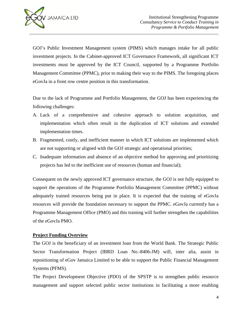

GOJ's Public Investment Management system (PIMS) which manages intake for all public investment projects. In the Cabinet-approved ICT Governance Framework, all significant ICT investments must be approved by the ICT Council, supported by a Programme Portfolio Management Committee (PPMC), prior to making their way to the PIMS. The foregoing places eGovJa in a front row centre position in this transformation.

Due to the lack of Programme and Portfolio Management, the GOJ has been experiencing the following challenges:

- A. Lack of a comprehensive and cohesive approach to solution acquisition, and implementation which often result in the duplication of ICT solutions and extended implementation times.
- B. Fragmented, costly, and inefficient manner in which ICT solutions are implemented which are not supporting or aligned with the GOJ strategic and operational priorities;
- C. Inadequate information and absence of an objective method for approving and prioritizing projects has led to the inefficient use of resources (human and financial);

Consequent on the newly approved ICT governance structure, the GOJ is not fully equipped to support the operations of the Programme Portfolio Management Committee (PPMC) without adequately trained resources being put in place. It is expected that the training of eGovJa resources will provide the foundation necessary to support the PPMC. eGovJa currently has a Programme Management Office (PMO) and this training will further strengthen the capabilities of the eGovJa PMO.

#### **Project Funding Overview**

The GOJ is the beneficiary of an investment loan from the World Bank. The Strategic Public Sector Transformation Project (IBRD Loan No.-8406-JM) will, inter alia, assist in repositioning of eGov Jamaica Limited to be able to support the Public Financial Management Systems (PFMS).

The Project Development Objective (PDO) of the SPSTP is to strengthen public resource management and support selected public sector institutions in facilitating a more enabling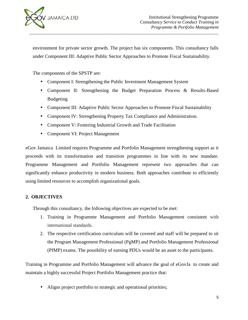

environment for private sector growth. The project has six components. This consultancy falls under Component III: Adaptive Public Sector Approaches to Promote Fiscal Sustainability.

*\_\_\_\_\_\_\_\_\_\_\_\_\_\_\_\_\_\_\_\_\_\_\_\_\_\_\_\_\_\_\_\_\_\_\_\_\_\_\_\_\_\_\_\_\_\_\_\_\_\_\_\_\_\_\_\_\_\_\_\_\_\_\_\_\_\_\_\_\_\_\_\_\_\_\_\_\_\_\_\_\_\_\_\_\_*

The components of the SPSTP are:

- Component I: Strengthening the Public Investment Management System
- Component II: Strengthening the Budget Preparation Process & Results-Based Budgeting
- Component III: Adaptive Public Sector Approaches to Promote Fiscal Sustainability
- Component IV: Strengthening Property Tax Compliance and Administration.
- Component V: Fostering Industrial Growth and Trade Facilitation
- Component VI: Project Management

eGov Jamaica Limited requires Programme and Portfolio Management strengthening support as it proceeds with its transformation and transition programmes in line with its new mandate. Programme Management and Portfolio Management represent two approaches that can significantly enhance productivity in modern business. Both approaches contribute to efficiently using limited resources to accomplish organizational goals.

# **2. OBJECTIVES**

Through this consultancy, the following objectives are expected to be met:

- 1. Training in Programme Management and Portfolio Management consistent with international standards.
- 2. The respective certification curriculum will be covered and staff will be prepared to sit the Program Management Professional (PgMP) and Portfolio Management Professional (PfMP) exams. The possibility of earning PDUs would be an asset to the participants.

Training in Programme and Portfolio Management will advance the goal of eGovJa to create and maintain a highly successful Project Portfolio Management practice that:

Aligns project portfolio to strategic and operational priorities;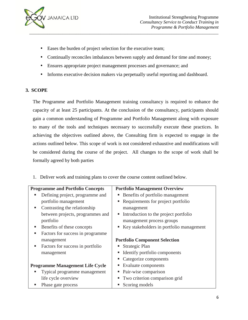

- Eases the burden of project selection for the executive team;
- Continually reconciles imbalances between supply and demand for time and money;
- Ensures appropriate project management processes and governance; and
- Informs executive decision makers via perpetually useful reporting and dashboard.

#### **3. SCOPE**

The Programme and Portfolio Management training consultancy is required to enhance the capacity of at least 25 participants. At the conclusion of the consultancy, participants should gain a common understanding of Programme and Portfolio Management along with exposure to many of the tools and techniques necessary to successfully execute these practices. In achieving the objectives outlined above, the Consulting firm is expected to engage in the actions outlined below. This scope of work is not considered exhaustive and modifications will be considered during the course of the project. All changes to the scope of work shall be formally agreed by both parties

1. Deliver work and training plans to cover the course content outlined below.

| <b>Programme and Portfolio Concepts</b> | <b>Portfolio Management Overview</b>     |
|-----------------------------------------|------------------------------------------|
| Defining project, programme and         | Benefits of portfolio management         |
| portfolio management                    | Requirements for project portfolio       |
| Contrasting the relationship<br>п       | management                               |
| between projects, programmes and        | Introduction to the project portfolio    |
| portfolio                               | management process groups                |
| Benefits of these concepts<br>ш         | Key stakeholders in portfolio management |
| Factors for success in programme<br>ш   |                                          |
| management                              | <b>Portfolio Component Selection</b>     |
| Factors for success in portfolio<br>ш   | Strategic Plan                           |
| management                              | Identify portfolio components            |
|                                         | Categorize components                    |
| <b>Programme Management Life Cycle</b>  | Evaluate components                      |
| Typical programme management            | Pair-wise comparison                     |
| life cycle overview                     | Two criterion comparison grid            |
| Phase gate process                      | Scoring models                           |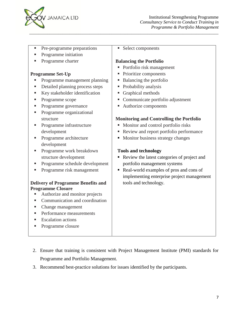

- Pre-programme preparations
- Programme initiation
- Programme charter

#### **Programme Set-Up**

- **Programme management planning**
- Detailed planning process steps
- Key stakeholder identification
- Programme scope
- Programme governance
- Programme organizational structure
- **Programme infrastructure** development
- Programme architecture development
- **Programme work breakdown** structure development
- Programme schedule development
- **Programme risk management**

#### **Delivery of Programme Benefits and Programme Closure**

- Authorize and monitor projects
- **Communication and coordination**
- Change management
- **Performance measurements**
- Escalation actions
- Programme closure

Select components

*\_\_\_\_\_\_\_\_\_\_\_\_\_\_\_\_\_\_\_\_\_\_\_\_\_\_\_\_\_\_\_\_\_\_\_\_\_\_\_\_\_\_\_\_\_\_\_\_\_\_\_\_\_\_\_\_\_\_\_\_\_\_\_\_\_\_\_\_\_\_\_\_\_\_\_\_\_\_\_\_\_\_\_\_\_*

#### **Balancing the Portfolio**

- Portfolio risk management
- Prioritize components
- Balancing the portfolio
- Probability analysis
- Graphical methods
- Communicate portfolio adjustment
- Authorize components

#### **Monitoring and Controlling the Portfolio**

- Monitor and control portfolio risks
- Review and report portfolio performance
- **Monitor business strategy changes**

#### **Tools and technology**

- Review the latest categories of project and portfolio management systems
- Real-world examples of pros and cons of implementing enterprise project management tools and technology.

- 2. Ensure that training is consistent with Project Management Institute (PMI) standards for Programme and Portfolio Management.
- 3. Recommend best-practice solutions for issues identified by the participants.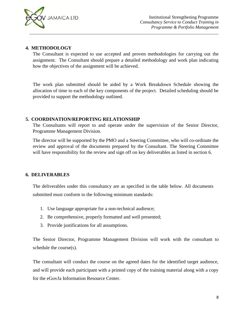

#### **4. METHODOLOGY**

The Consultant is expected to use accepted and proven methodologies for carrying out the assignment. The Consultant should prepare a detailed methodology and work plan indicating how the objectives of the assignment will be achieved.

The work plan submitted should be aided by a Work Breakdown Schedule showing the allocation of time to each of the key components of the project. Detailed scheduling should be provided to support the methodology outlined.

#### **5. COORDINATION/REPORTING RELATIONSHIP**

The Consultants will report to and operate under the supervision of the Senior Director, Programme Management Division.

The director will be supported by the PMO and a Steering Committee, who will co-ordinate the review and approval of the documents prepared by the Consultant. The Steering Committee will have responsibility for the review and sign off on key deliverables as listed in section 6.

#### **6. DELIVERABLES**

The deliverables under this consultancy are as specified in the table below. All documents submitted must conform to the following minimum standards:

- 1. Use language appropriate for a non-technical audience;
- 2. Be comprehensive, properly formatted and well presented;
- 3. Provide justifications for all assumptions.

The Senior Director, Programme Management Division will work with the consultant to schedule the course(s).

The consultant will conduct the course on the agreed dates for the identified target audience, and will provide each participant with a printed copy of the training material along with a copy for the eGovJa Information Resource Center.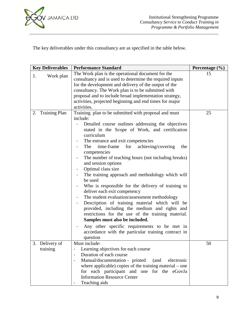

The key deliverables under this consultancy are as specified in the table below.

*\_\_\_\_\_\_\_\_\_\_\_\_\_\_\_\_\_\_\_\_\_\_\_\_\_\_\_\_\_\_\_\_\_\_\_\_\_\_\_\_\_\_\_\_\_\_\_\_\_\_\_\_\_\_\_\_\_\_\_\_\_\_\_\_\_\_\_\_\_\_\_\_\_\_\_\_\_\_\_\_\_\_\_\_\_*

| <b>Key Deliverables</b>       | <b>Performance Standard</b>                                                                                                                                                                                                                                                                                                                                                                                                                                                                                                                                                                                                                                                                                                                                                                                                                                                                                                                                                                           | Percentage $(\% )$ |
|-------------------------------|-------------------------------------------------------------------------------------------------------------------------------------------------------------------------------------------------------------------------------------------------------------------------------------------------------------------------------------------------------------------------------------------------------------------------------------------------------------------------------------------------------------------------------------------------------------------------------------------------------------------------------------------------------------------------------------------------------------------------------------------------------------------------------------------------------------------------------------------------------------------------------------------------------------------------------------------------------------------------------------------------------|--------------------|
| 1.<br>Work plan               | The Work plan is the operational document for the<br>consultancy and is used to determine the required inputs<br>for the development and delivery of the output of the<br>consultancy. The Work plan is to be submitted with<br>proposal and to include broad implementation strategy,<br>activities, projected beginning and end times for major<br>activities.                                                                                                                                                                                                                                                                                                                                                                                                                                                                                                                                                                                                                                      | 15                 |
| <b>Training Plan</b><br>2.    | Training plan to be submitted with proposal and must<br>include:<br>Detailed course outlines addressing the objectives<br>stated in the Scope of Work, and certification<br>curriculum<br>The entrance and exit competencies<br>$\blacksquare$<br>The<br>time-frame<br>for<br>achieving/covering<br>the<br>$\blacksquare$<br>competencies<br>The number of teaching hours (not including breaks)<br>and session options<br>Optimal class size<br>The training approach and methodology which will<br>$\blacksquare$<br>be used<br>Who is responsible for the delivery of training to<br>deliver each exit competency<br>The student evaluation/assessment methodology<br>Description of training material which will be<br>provided, including the medium and rights and<br>restrictions for the use of the training material.<br>Samples must also be included.<br>Any other specific requirements to be met in<br>$\blacksquare$<br>accordance with the particular training contract in<br>question | 25                 |
| 3.<br>Delivery of<br>training | Must include:<br>Learning objectives for each course<br>Duration of each course<br>Manual/documentation - printed<br>(and<br>electronic<br>where applicable) copies of the training material – one<br>for each participant and one for the eGovJa<br><b>Information Resource Center</b><br>Teaching aids                                                                                                                                                                                                                                                                                                                                                                                                                                                                                                                                                                                                                                                                                              | 50                 |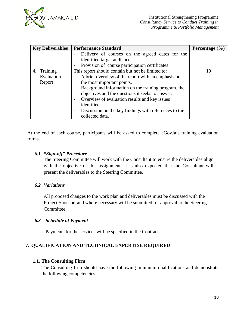

| <b>Key Deliverables</b> | <b>Performance Standard</b>                                                    | Percentage $(\% )$ |
|-------------------------|--------------------------------------------------------------------------------|--------------------|
|                         | Delivery of courses on the agreed dates for the                                |                    |
|                         | identified target audience                                                     |                    |
|                         | Provision of course participation certificates                                 |                    |
| 4. Training             | This report should contain but not be limited to:                              | 10                 |
| Evaluation              | A brief overview of the report with an emphasis on<br>$\overline{\phantom{a}}$ |                    |
| Report                  | the most important points.                                                     |                    |
|                         | Background information on the training program, the                            |                    |
|                         | objectives and the questions it seeks to answer.                               |                    |
|                         | Overview of evaluation results and key issues                                  |                    |
|                         | identified                                                                     |                    |
|                         | Discussion on the key findings with references to the<br>$\sim$                |                    |
|                         | collected data.                                                                |                    |

*\_\_\_\_\_\_\_\_\_\_\_\_\_\_\_\_\_\_\_\_\_\_\_\_\_\_\_\_\_\_\_\_\_\_\_\_\_\_\_\_\_\_\_\_\_\_\_\_\_\_\_\_\_\_\_\_\_\_\_\_\_\_\_\_\_\_\_\_\_\_\_\_\_\_\_\_\_\_\_\_\_\_\_\_\_*

At the end of each course, participants will be asked to complete eGovJa's training evaluation forms.

#### *6.1 "Sign-off" Procedure*

The Steering Committee will work with the Consultant to ensure the deliverables align with the objective of this assignment. It is also expected that the Consultant will present the deliverables to the Steering Committee.

#### *6.2 Variations*

All proposed changes to the work plan and deliverables must be discussed with the Project Sponsor, and where necessary will be submitted for approval to the Steering Committee.

#### *6.3 Schedule of Payment*

Payments for the services will be specified in the Contract.

# **7. QUALIFICATION AND TECHNICAL EXPERTISE REQUIRED**

# **1.1. The Consulting Firm**

The Consulting firm should have the following minimum qualifications and demonstrate the following competencies: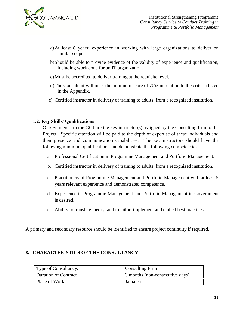

a)At least 8 years' experience in working with large organizations to deliver on similar scope.

*\_\_\_\_\_\_\_\_\_\_\_\_\_\_\_\_\_\_\_\_\_\_\_\_\_\_\_\_\_\_\_\_\_\_\_\_\_\_\_\_\_\_\_\_\_\_\_\_\_\_\_\_\_\_\_\_\_\_\_\_\_\_\_\_\_\_\_\_\_\_\_\_\_\_\_\_\_\_\_\_\_\_\_\_\_*

- b)Should be able to provide evidence of the validity of experience and qualification, including work done for an IT organization.
- c)Must be accredited to deliver training at the requisite level.
- d)The Consultant will meet the minimum score of 70% in relation to the criteria listed in the Appendix.
- e) Certified instructor in delivery of training to adults, from a recognized institution.

#### **1.2. Key Skills/ Qualifications**

Of key interest to the GOJ are the key instructor(s) assigned by the Consulting firm to the Project. Specific attention will be paid to the depth of expertise of these individuals and their presence and communication capabilities. The key instructors should have the following minimum qualifications and demonstrate the following competencies

- a. Professional Certification in Programme Management and Portfolio Management.
- b. Certified instructor in delivery of training to adults, from a recognized institution.
- c. Practitioners of Programme Management and Portfolio Management with at least 5 years relevant experience and demonstrated competence.
- d. Experience in Programme Management and Portfolio Management in Government is desired.
- e. Ability to translate theory, and to tailor, implement and embed best practices.

A primary and secondary resource should be identified to ensure project continuity if required.

#### **8. CHARACTERISTICS OF THE CONSULTANCY**

| Type of Consultancy: | <b>Consulting Firm</b>          |
|----------------------|---------------------------------|
| Duration of Contract | 3 months (non-consecutive days) |
| Place of Work:       | Jamaica                         |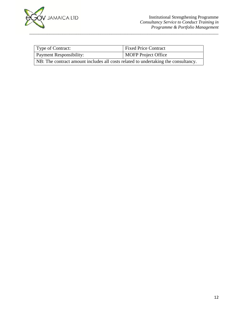

| Type of Contract:                                                                  | <b>Fixed Price Contract</b> |  |  |  |
|------------------------------------------------------------------------------------|-----------------------------|--|--|--|
| Payment Responsibility:                                                            | MOFP Project Office         |  |  |  |
| NB: The contract amount includes all costs related to undertaking the consultancy. |                             |  |  |  |